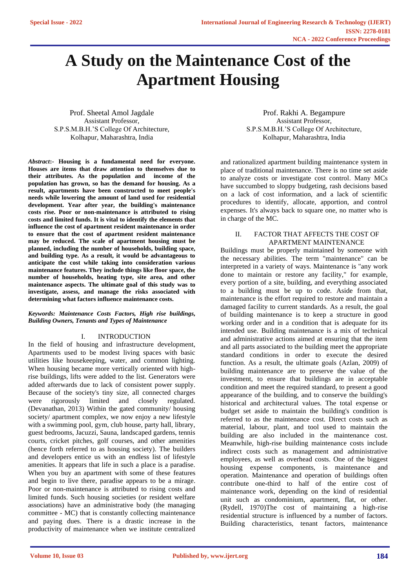# **A Study on the Maintenance Cost of the Apartment Housing**

Prof. Sheetal Amol Jagdale Assistant Professor, S.P.S.M.B.H.'S College Of Architecture, Kolhapur, Maharashtra, India

*Abstract***:- Housing is a fundamental need for everyone. Houses are items that draw attention to themselves due to their attributes. As the population and income of the population has grown, so has the demand for housing. As a result, apartments have been constructed to meet people's needs while lowering the amount of land used for residential development. Year after year, the building's maintenance costs rise. Poor or non-maintenance is attributed to rising costs and limited funds. It is vital to identify the elements that influence the cost of apartment resident maintenance in order to ensure that the cost of apartment resident maintenance may be reduced. The scale of apartment housing must be planned, including the number of households, building space, and building type. As a result, it would be advantageous to anticipate the cost while taking into consideration various maintenance features. They include things like floor space, the number of households, heating type, site area, and other maintenance aspects. The ultimate goal of this study was to investigate, assess, and manage the risks associated with determining what factors influence maintenance costs.**

#### *Keywords: Maintenance Costs Factors, High rise buildings, Building Owners, Tenants and Types of Maintenance*

# I. INTRODUCTION

In the field of housing and infrastructure development, Apartments used to be modest living spaces with basic utilities like housekeeping, water, and common lighting. When housing became more vertically oriented with highrise buildings, lifts were added to the list. Generators were added afterwards due to lack of consistent power supply. Because of the society's tiny size, all connected charges were rigorously limited and closely regulated. (Devanathan, 2013) Within the gated community/ housing society/ apartment complex, we now enjoy a new lifestyle with a swimming pool, gym, club house, party hall, library, guest bedrooms, Jacuzzi, Sauna, landscaped gardens, tennis courts, cricket pitches, golf courses, and other amenities (hence forth referred to as housing society). The builders and developers entice us with an endless list of lifestyle amenities. It appears that life in such a place is a paradise. When you buy an apartment with some of these features and begin to live there, paradise appears to be a mirage. Poor or non-maintenance is attributed to rising costs and limited funds. Such housing societies (or resident welfare associations) have an administrative body (the managing committee - MC) that is constantly collecting maintenance and paying dues. There is a drastic increase in the productivity of maintenance when we institute centralized

Prof. Rakhi A. Begampure Assistant Professor, S.P.S.M.B.H.'S College Of Architecture, Kolhapur, Maharashtra, India

and rationalized apartment building maintenance system in place of traditional maintenance. There is no time set aside to analyze costs or investigate cost control. Many MCs have succumbed to sloppy budgeting, rash decisions based on a lack of cost information, and a lack of scientific procedures to identify, allocate, apportion, and control expenses. It's always back to square one, no matter who is in charge of the MC.

# II. FACTOR THAT AFFECTS THE COST OF APARTMENT MAINTENANCE

Buildings must be properly maintained by someone with the necessary abilities. The term "maintenance" can be interpreted in a variety of ways. Maintenance is "any work done to maintain or restore any facility," for example, every portion of a site, building, and everything associated to a building must be up to code. Aside from that, maintenance is the effort required to restore and maintain a damaged facility to current standards. As a result, the goal of building maintenance is to keep a structure in good working order and in a condition that is adequate for its intended use. Building maintenance is a mix of technical and administrative actions aimed at ensuring that the item and all parts associated to the building meet the appropriate standard conditions in order to execute the desired function. As a result, the ultimate goals (Azlan, 2009) of building maintenance are to preserve the value of the investment, to ensure that buildings are in acceptable condition and meet the required standard, to present a good appearance of the building, and to conserve the building's historical and architectural values. The total expense or budget set aside to maintain the building's condition is referred to as the maintenance cost. Direct costs such as material, labour, plant, and tool used to maintain the building are also included in the maintenance cost. Meanwhile, high-rise building maintenance costs include indirect costs such as management and administrative employees, as well as overhead costs. One of the biggest housing expense components, is maintenance and operation. Maintenance and operation of buildings often contribute one-third to half of the entire cost of maintenance work, depending on the kind of residential unit such as condominium, apartment, flat, or other. (Rydell, 1970)The cost of maintaining a high-rise residential structure is influenced by a number of factors. Building characteristics, tenant factors, maintenance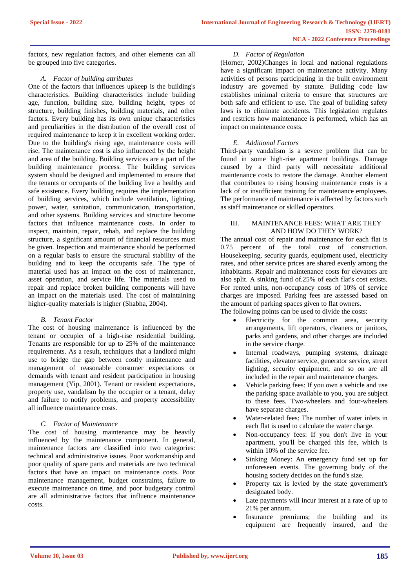factors, new regulation factors, and other elements can all be grouped into five categories.

# *A. Factor of building attributes*

One of the factors that influences upkeep is the building's characteristics. Building characteristics include building age, function, building size, building height, types of structure, building finishes, building materials, and other factors. Every building has its own unique characteristics and peculiarities in the distribution of the overall cost of required maintenance to keep it in excellent working order. Due to the building's rising age, maintenance costs will rise. The maintenance cost is also influenced by the height and area of the building. Building services are a part of the building maintenance process. The building services system should be designed and implemented to ensure that the tenants or occupants of the building live a healthy and safe existence. Every building requires the implementation of building services, which include ventilation, lighting, power, water, sanitation, communication, transportation, and other systems. Building services and structure become factors that influence maintenance costs. In order to inspect, maintain, repair, rehab, and replace the building structure, a significant amount of financial resources must be given. Inspection and maintenance should be performed on a regular basis to ensure the structural stability of the building and to keep the occupants safe. The type of material used has an impact on the cost of maintenance, asset operation, and service life. The materials used to repair and replace broken building components will have an impact on the materials used. The cost of maintaining higher-quality materials is higher (Shabha, 2004).

# *B. Tenant Factor*

The cost of housing maintenance is influenced by the tenant or occupier of a high-rise residential building. Tenants are responsible for up to 25% of the maintenance requirements. As a result, techniques that a landlord might use to bridge the gap between costly maintenance and management of reasonable consumer expectations or demands with tenant and resident participation in housing management (Yip, 2001). Tenant or resident expectations, property use, vandalism by the occupier or a tenant, delay and failure to notify problems, and property accessibility all influence maintenance costs.

# *C. Factor of Maintenance*

The cost of housing maintenance may be heavily influenced by the maintenance component. In general, maintenance factors are classified into two categories: technical and administrative issues. Poor workmanship and poor quality of spare parts and materials are two technical factors that have an impact on maintenance costs. Poor maintenance management, budget constraints, failure to execute maintenance on time, and poor budgetary control are all administrative factors that influence maintenance costs.

# *D. Factor of Regulation*

(Horner, 2002)Changes in local and national regulations have a significant impact on maintenance activity. Many activities of persons participating in the built environment industry are governed by statute. Building code law establishes minimal criteria to ensure that structures are both safe and efficient to use. The goal of building safety laws is to eliminate accidents. This legislation regulates and restricts how maintenance is performed, which has an impact on maintenance costs.

# *E. Additional Factors*

Third-party vandalism is a severe problem that can be found in some high-rise apartment buildings. Damage caused by a third party will necessitate additional maintenance costs to restore the damage. Another element that contributes to rising housing maintenance costs is a lack of or insufficient training for maintenance employees. The performance of maintenance is affected by factors such as staff maintenance or skilled operators.

## III. MAINTENANCE FEES: WHAT ARE THEY AND HOW DO THEY WORK?

The annual cost of repair and maintenance for each flat is 0.75 percent of the total cost of construction. Housekeeping, security guards, equipment used, electricity rates, and other service prices are shared evenly among the inhabitants. Repair and maintenance costs for elevators are also split. A sinking fund of.25% of each flat's cost exists. For rented units, non-occupancy costs of 10% of service charges are imposed. Parking fees are assessed based on the amount of parking spaces given to flat owners.

The following points can be used to divide the costs:

- Electricity for the common area, security arrangements, lift operators, cleaners or janitors, parks and gardens, and other charges are included in the service charge.
- Internal roadways, pumping systems, drainage facilities, elevator service, generator service, street lighting, security equipment, and so on are all included in the repair and maintenance charges.
- Vehicle parking fees: If you own a vehicle and use the parking space available to you, you are subject to these fees. Two-wheelers and four-wheelers have separate charges.
- Water-related fees: The number of water inlets in each flat is used to calculate the water charge.
- Non-occupancy fees: If you don't live in your apartment, you'll be charged this fee, which is within 10% of the service fee.
- Sinking Money: An emergency fund set up for unforeseen events. The governing body of the housing society decides on the fund's size.
- Property tax is levied by the state government's designated body.
- Late payments will incur interest at a rate of up to 21% per annum.
- Insurance premiums; the building and its equipment are frequently insured, and the